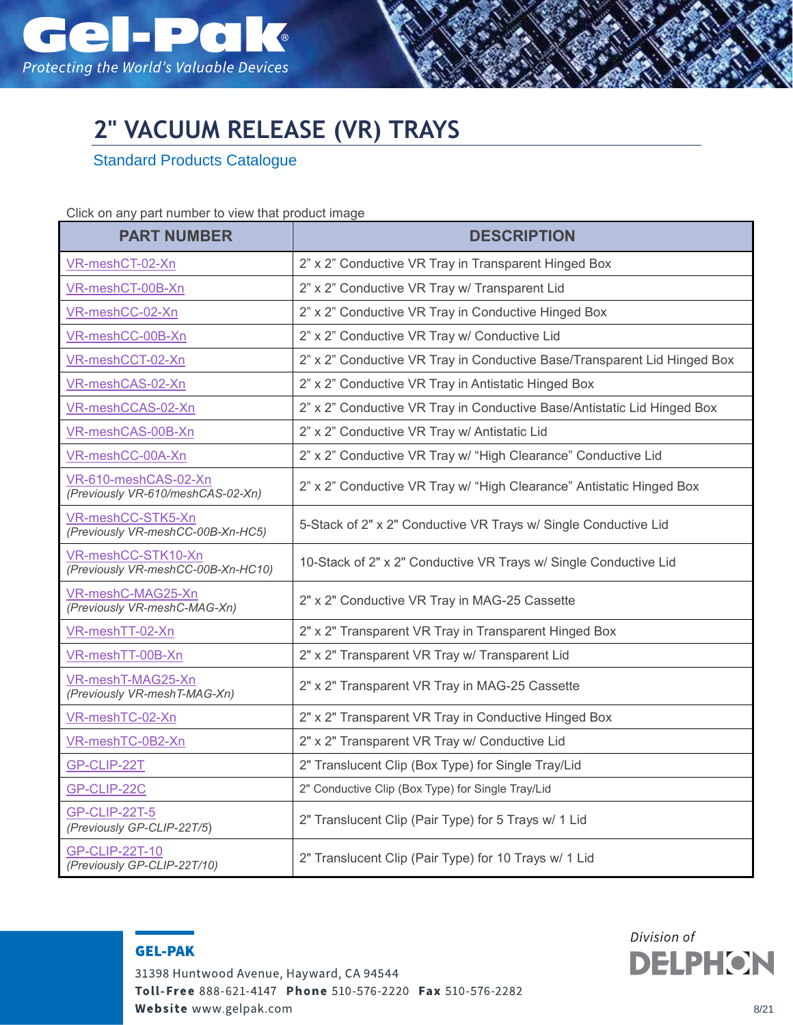

## **2" VACUUM RELEASE (VR) TRAYS**

Standard Products Catalogue

## Click on any part number to view that product image

| <b>PART NUMBER</b>                                        | <b>DESCRIPTION</b>                                                       |
|-----------------------------------------------------------|--------------------------------------------------------------------------|
| VR-meshCT-02-Xn                                           | 2" x 2" Conductive VR Tray in Transparent Hinged Box                     |
| VR-meshCT-00B-Xn                                          | 2" x 2" Conductive VR Tray w/ Transparent Lid                            |
| VR-meshCC-02-Xn                                           | 2" x 2" Conductive VR Tray in Conductive Hinged Box                      |
| VR-meshCC-00B-Xn                                          | 2" x 2" Conductive VR Tray w/ Conductive Lid                             |
| VR-meshCCT-02-Xn                                          | 2" x 2" Conductive VR Tray in Conductive Base/Transparent Lid Hinged Box |
| VR-meshCAS-02-Xn                                          | 2" x 2" Conductive VR Tray in Antistatic Hinged Box                      |
| VR-meshCCAS-02-Xn                                         | 2" x 2" Conductive VR Tray in Conductive Base/Antistatic Lid Hinged Box  |
| VR-meshCAS-00B-Xn                                         | 2" x 2" Conductive VR Tray w/ Antistatic Lid                             |
| VR-meshCC-00A-Xn                                          | 2" x 2" Conductive VR Tray w/ "High Clearance" Conductive Lid            |
| VR-610-meshCAS-02-Xn<br>(Previously VR-610/meshCAS-02-Xn) | 2" x 2" Conductive VR Tray w/ "High Clearance" Antistatic Hinged Box     |
| VR-meshCC-STK5-Xn<br>(Previously VR-meshCC-00B-Xn-HC5)    | 5-Stack of 2" x 2" Conductive VR Trays w/ Single Conductive Lid          |
| VR-meshCC-STK10-Xn<br>(Previously VR-meshCC-00B-Xn-HC10)  | 10-Stack of 2" x 2" Conductive VR Trays w/ Single Conductive Lid         |
| VR-meshC-MAG25-Xn<br>(Previously VR-meshC-MAG-Xn)         | 2" x 2" Conductive VR Tray in MAG-25 Cassette                            |
| VR-meshTT-02-Xn                                           | 2" x 2" Transparent VR Tray in Transparent Hinged Box                    |
| VR-meshTT-00B-Xn                                          | 2" x 2" Transparent VR Tray w/ Transparent Lid                           |
| VR-meshT-MAG25-Xn<br>(Previously VR-meshT-MAG-Xn)         | 2" x 2" Transparent VR Tray in MAG-25 Cassette                           |
| VR-meshTC-02-Xn                                           | 2" x 2" Transparent VR Tray in Conductive Hinged Box                     |
| VR-meshTC-0B2-Xn                                          | 2" x 2" Transparent VR Tray w/ Conductive Lid                            |
| GP-CLIP-22T                                               | 2" Translucent Clip (Box Type) for Single Tray/Lid                       |
| GP-CLIP-22C                                               | 2" Conductive Clip (Box Type) for Single Tray/Lid                        |
| GP-CLIP-22T-5<br>(Previously GP-CLIP-22T/5)               | 2" Translucent Clip (Pair Type) for 5 Trays w/ 1 Lid                     |
| <b>GP-CLIP-22T-10</b><br>(Previously GP-CLIP-22T/10)      | 2" Translucent Clip (Pair Type) for 10 Trays w/ 1 Lid                    |

**GEL-PAK** 

31398 Huntwood Avenue, Hayward, CA 94544 Toll-Free 888-621-4147 Phone 510-576-2220 Fax 510-576-2282 Website www.gelpak.com